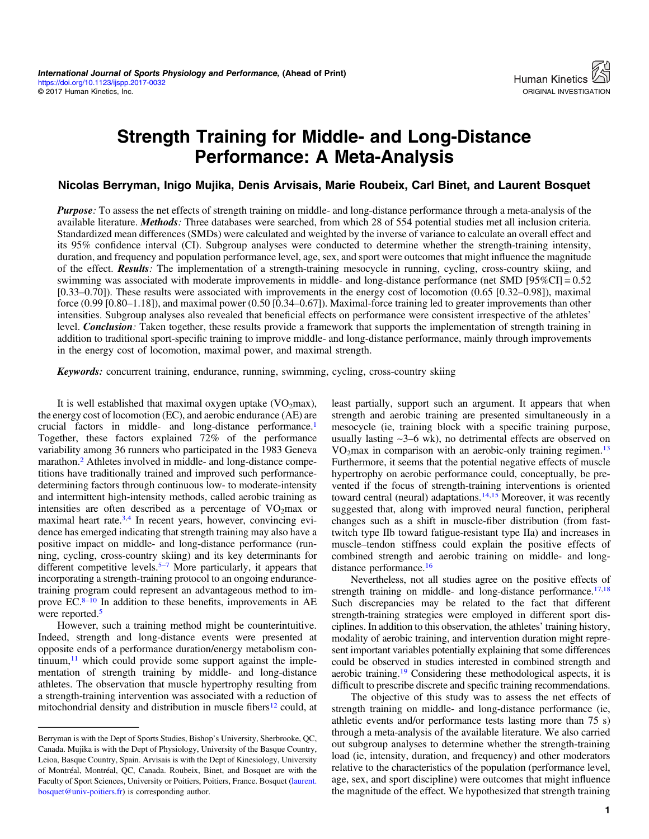# Strength Training for Middle- and Long-Distance Performance: A Meta-Analysis

#### Nicolas Berryman, Inigo Mujika, Denis Arvisais, Marie Roubeix, Carl Binet, and Laurent Bosquet

Purpose: To assess the net effects of strength training on middle- and long-distance performance through a meta-analysis of the available literature. Methods: Three databases were searched, from which 28 of 554 potential studies met all inclusion criteria. Standardized mean differences (SMDs) were calculated and weighted by the inverse of variance to calculate an overall effect and its 95% confidence interval (CI). Subgroup analyses were conducted to determine whether the strength-training intensity, duration, and frequency and population performance level, age, sex, and sport were outcomes that might influence the magnitude of the effect. **Results**: The implementation of a strength-training mesocycle in running, cycling, cross-country skiing, and swimming was associated with moderate improvements in middle- and long-distance performance (net SMD [95%CI] = 0.52 [0.33–0.70]). These results were associated with improvements in the energy cost of locomotion (0.65 [0.32–0.98]), maximal force (0.99 [0.80–1.18]), and maximal power (0.50 [0.34–0.67]). Maximal-force training led to greater improvements than other intensities. Subgroup analyses also revealed that beneficial effects on performance were consistent irrespective of the athletes' level. Conclusion: Taken together, these results provide a framework that supports the implementation of strength training in addition to traditional sport-specific training to improve middle- and long-distance performance, mainly through improvements in the energy cost of locomotion, maximal power, and maximal strength.

Keywords: concurrent training, endurance, running, swimming, cycling, cross-country skiing

It is well established that maximal oxygen uptake  $(VO<sub>2</sub>max)$ , the energy cost of locomotion (EC), and aerobic endurance (AE) are crucial factors in middle- and long-distance performance[.1](#page-6-0) Together, these factors explained 72% of the performance variability among 36 runners who participated in the 1983 Geneva marathon.<sup>[2](#page-6-0)</sup> Athletes involved in middle- and long-distance competitions have traditionally trained and improved such performancedetermining factors through continuous low- to moderate-intensity and intermittent high-intensity methods, called aerobic training as intensities are often described as a percentage of  $VO<sub>2</sub>max$  or maximal heart rate.<sup>3,4</sup> In recent years, however, convincing evidence has emerged indicating that strength training may also have a positive impact on middle- and long-distance performance (running, cycling, cross-country skiing) and its key determinants for different competitive levels.<sup>5[–](#page-6-0)[7](#page-6-0)</sup> More particularly, it appears that incorporating a strength-training protocol to an ongoing endurancetraining program could represent an advantageous method to improve EC. $8-10$  $8-10$  In addition to these benefits, improvements in AE were reported.<sup>5</sup>

However, such a training method might be counterintuitive. Indeed, strength and long-distance events were presented at opposite ends of a performance duration/energy metabolism continuum, $11$  which could provide some support against the implementation of strength training by middle- and long-distance athletes. The observation that muscle hypertrophy resulting from a strength-training intervention was associated with a reduction of mitochondrial density and distribution in muscle fibers $^{12}$  $^{12}$  $^{12}$  could, at

least partially, support such an argument. It appears that when strength and aerobic training are presented simultaneously in a mesocycle (ie, training block with a specific training purpose, usually lasting ∼3–6 wk), no detrimental effects are observed on  $VO<sub>2</sub>max$  in comparison with an aerobic-only training regimen.<sup>[13](#page-6-0)</sup> Furthermore, it seems that the potential negative effects of muscle hypertrophy on aerobic performance could, conceptually, be prevented if the focus of strength-training interventions is oriented toward central (neural) adaptations.<sup>[14,15](#page-6-0)</sup> Moreover, it was recently suggested that, along with improved neural function, peripheral changes such as a shift in muscle-fiber distribution (from fasttwitch type IIb toward fatigue-resistant type IIa) and increases in muscle–tendon stiffness could explain the positive effects of combined strength and aerobic training on middle- and longdistance performance.<sup>16</sup>

Nevertheless, not all studies agree on the positive effects of strength training on middle- and long-distance performance.<sup>17,18</sup> Such discrepancies may be related to the fact that different strength-training strategies were employed in different sport disciplines. In addition to this observation, the athletes' training history, modality of aerobic training, and intervention duration might represent important variables potentially explaining that some differences could be observed in studies interested in combined strength and aerobic training[.19](#page-6-0) Considering these methodological aspects, it is difficult to prescribe discrete and specific training recommendations.

The objective of this study was to assess the net effects of strength training on middle- and long-distance performance (ie, athletic events and/or performance tests lasting more than 75 s) through a meta-analysis of the available literature. We also carried out subgroup analyses to determine whether the strength-training load (ie, intensity, duration, and frequency) and other moderators relative to the characteristics of the population (performance level, age, sex, and sport discipline) were outcomes that might influence the magnitude of the effect. We hypothesized that strength training

Berryman is with the Dept of Sports Studies, Bishop's University, Sherbrooke, QC, Canada. Mujika is with the Dept of Physiology, University of the Basque Country, Leioa, Basque Country, Spain. Arvisais is with the Dept of Kinesiology, University of Montréal, Montréal, QC, Canada. Roubeix, Binet, and Bosquet are with the Faculty of Sport Sciences, University or Poitiers, Poitiers, France. Bosquet [\(laurent.](mailto:laurent.bosquet@univ-poitiers.fr) [bosquet@univ-poitiers.fr](mailto:laurent.bosquet@univ-poitiers.fr)) is corresponding author.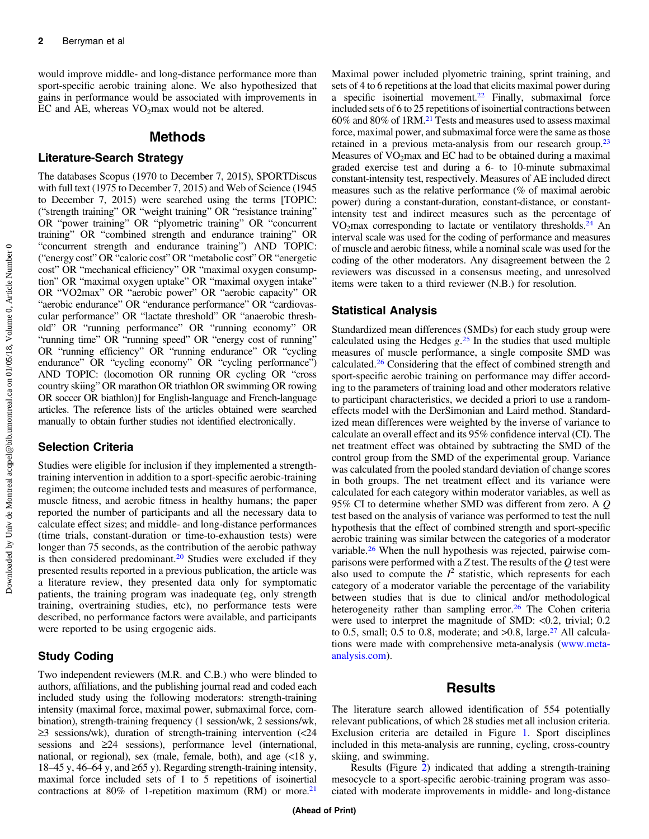would improve middle- and long-distance performance more than sport-specific aerobic training alone. We also hypothesized that gains in performance would be associated with improvements in EC and AE, whereas  $VO<sub>2</sub>$  max would not be altered.

#### Methods

#### Literature-Search Strategy

The databases Scopus (1970 to December 7, 2015), SPORTDiscus with full text (1975 to December 7, 2015) and Web of Science (1945 to December 7, 2015) were searched using the terms [TOPIC: ("strength training" OR "weight training" OR "resistance training" OR "power training" OR "plyometric training" OR "concurrent training" OR "combined strength and endurance training" OR "concurrent strength and endurance training") AND TOPIC: ("energy cost" OR "caloric cost" OR "metabolic cost" OR "energetic cost" OR "mechanical efficiency" OR "maximal oxygen consumption" OR "maximal oxygen uptake" OR "maximal oxygen intake" OR "VO2max" OR "aerobic power" OR "aerobic capacity" OR "aerobic endurance" OR "endurance performance" OR "cardiovascular performance" OR "lactate threshold" OR "anaerobic threshold" OR "running performance" OR "running economy" OR "running time" OR "running speed" OR "energy cost of running" OR "running efficiency" OR "running endurance" OR "cycling endurance" OR "cycling economy" OR "cycling performance") AND TOPIC: (locomotion OR running OR cycling OR "cross country skiing" OR marathon OR triathlon OR swimming OR rowing OR soccer OR biathlon)] for English-language and French-language articles. The reference lists of the articles obtained were searched manually to obtain further studies not identified electronically.

### Selection Criteria

Studies were eligible for inclusion if they implemented a strengthtraining intervention in addition to a sport-specific aerobic-training regimen; the outcome included tests and measures of performance, muscle fitness, and aerobic fitness in healthy humans; the paper reported the number of participants and all the necessary data to calculate effect sizes; and middle- and long-distance performances (time trials, constant-duration or time-to-exhaustion tests) were longer than 75 seconds, as the contribution of the aerobic pathway is then considered predominant.<sup>20</sup> Studies were excluded if they presented results reported in a previous publication, the article was a literature review, they presented data only for symptomatic patients, the training program was inadequate (eg, only strength training, overtraining studies, etc), no performance tests were described, no performance factors were available, and participants were reported to be using ergogenic aids.

### Study Coding

Two independent reviewers (M.R. and C.B.) who were blinded to authors, affiliations, and the publishing journal read and coded each included study using the following moderators: strength-training intensity (maximal force, maximal power, submaximal force, combination), strength-training frequency (1 session/wk, 2 sessions/wk, ≥3 sessions/wk), duration of strength-training intervention (<24 sessions and ≥24 sessions), performance level (international, national, or regional), sex (male, female, both), and age (<18 y, 18–45 y, 46–64 y, and ≥65 y). Regarding strength-training intensity, maximal force included sets of 1 to 5 repetitions of isoinertial contractions at 80% of 1-repetition maximum (RM) or more.<sup>21</sup>

Maximal power included plyometric training, sprint training, and sets of 4 to 6 repetitions at the load that elicits maximal power during a specific isoinertial movement.<sup>22</sup> Finally, submaximal force included sets of 6 to 25 repetitions of isoinertial contractions between  $60\%$  and  $80\%$  of 1RM.<sup>[21](#page-6-0)</sup> Tests and measures used to assess maximal force, maximal power, and submaximal force were the same as those retained in a previous meta-analysis from our research group.<sup>23</sup> Measures of  $VO<sub>2</sub>max$  and EC had to be obtained during a maximal graded exercise test and during a 6- to 10-minute submaximal constant-intensity test, respectively. Measures of AE included direct measures such as the relative performance (% of maximal aerobic power) during a constant-duration, constant-distance, or constantintensity test and indirect measures such as the percentage of  $VO<sub>2</sub>max$  corresponding to lactate or ventilatory thresholds.<sup>[24](#page-6-0)</sup> An interval scale was used for the coding of performance and measures of muscle and aerobic fitness, while a nominal scale was used for the coding of the other moderators. Any disagreement between the 2 reviewers was discussed in a consensus meeting, and unresolved items were taken to a third reviewer (N.B.) for resolution.

#### Statistical Analysis

Standardized mean differences (SMDs) for each study group were calculated using the Hedges  $g^{25}$  $g^{25}$  $g^{25}$  In the studies that used multiple<br>measures of muscle performance, a single composite SMD was measures of muscle performance, a single composite SMD was calculated.[26](#page-6-0) Considering that the effect of combined strength and sport-specific aerobic training on performance may differ according to the parameters of training load and other moderators relative to participant characteristics, we decided a priori to use a randomeffects model with the DerSimonian and Laird method. Standardized mean differences were weighted by the inverse of variance to calculate an overall effect and its 95% confidence interval (CI). The net treatment effect was obtained by subtracting the SMD of the control group from the SMD of the experimental group. Variance was calculated from the pooled standard deviation of change scores in both groups. The net treatment effect and its variance were calculated for each category within moderator variables, as well as 95% CI to determine whether SMD was different from zero. A Q test based on the analysis of variance was performed to test the null hypothesis that the effect of combined strength and sport-specific aerobic training was similar between the categories of a moderator variable.<sup>26</sup> When the null hypothesis was rejected, pairwise comparisons were performed with a Z test. The results of the  $Q$  test were also used to compute the  $I^2$  statistic, which represents for each category of a moderator variable the percentage of the variability category of a moderator variable the percentage of the variability between studies that is due to clinical and/or methodological heterogeneity rather than sampling error.<sup>[26](#page-6-0)</sup> The Cohen criteria were used to interpret the magnitude of SMD: <0.2, trivial; 0.2 to 0.5, small; 0.5 to 0.8, moderate; and  $>0.8$ , large.<sup>[27](#page-6-0)</sup> All calculations were made with comprehensive meta-analysis ([www.meta](www.meta-analysis.com)[analysis.com](www.meta-analysis.com)).

### **Results**

The literature search allowed identification of 554 potentially relevant publications, of which 28 studies met all inclusion criteria. Exclusion criteria are detailed in Figure [1.](#page-2-0) Sport disciplines included in this meta-analysis are running, cycling, cross-country skiing, and swimming.

Results (Figure [2\)](#page-2-0) indicated that adding a strength-training mesocycle to a sport-specific aerobic-training program was associated with moderate improvements in middle- and long-distance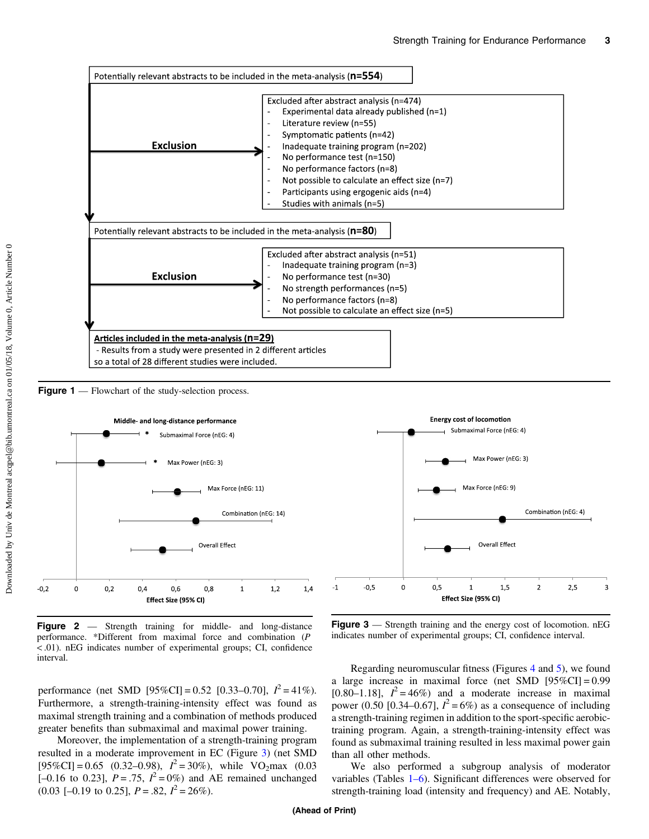<span id="page-2-0"></span>

Figure 1 — Flowchart of the study-selection process.



Figure 2 — Strength training for middle- and long-distance performance. \*Different from maximal force and combination (P < .01). nEG indicates number of experimental groups; CI, confidence interval.

Max Force (nEG: 9) Combination (nEG: 4) **Overall Effect**  $-1$  $-0,5$  $\overline{0}$  $0.5$  $\mathbf{1}$  $1.5$  $\overline{2}$  $2.5$  $\overline{3}$ Effect Size (95% CI)

**Energy cost of locomotion** 

Submaximal Force (nEG: 4)

Max Power (nEG: 3)

Figure 3 — Strength training and the energy cost of locomotion. nEG indicates number of experimental groups; CI, confidence interval.

performance (net SMD [95%CI] = 0.52 [0.33–0.70],  $I^2 = 41\%$ ).<br>Furthermore a strength-training-intensity effect was found as Furthermore, a strength-training-intensity effect was found as maximal strength training and a combination of methods produced greater benefits than submaximal and maximal power training.

Moreover, the implementation of a strength-training program resulted in a moderate improvement in EC (Figure 3) (net SMD [95%CI] = 0.65 (0.32–0.98),  $I^2 = 30\%$ ), while VO<sub>2</sub>max (0.03<br>[-0.16 to 0.23]  $P = 75$   $I^2 = 0\%$ ) and AE remained unchanged  $[-0.16 \text{ to } 0.23], P = .75, I^2 = 0\%)$  and AE remained unchanged<br>(0.03 L-0.19 to 0.251,  $P = .82 \ I^2 = 26\%$ )  $(0.03 [-0.19 \text{ to } 0.25], P = .82, I^2 = 26\%).$ 

Regarding neuromuscular fitness (Figures [4](#page-3-0) and [5](#page-3-0)), we found a large increase in maximal force (net SMD  $[95\%CI] = 0.99$  $[0.80-1.18]$ ,  $I^2 = 46\%$  and a moderate increase in maximal<br>nower (0.50 to 34–0.671  $I^2 = 6\%$ ) as a consequence of including power (0.50 [0.34–0.67],  $I^2 = 6\%$ ) as a consequence of including<br>a strength-training regimen in addition to the sport-specific aerobica strength-training regimen in addition to the sport-specific aerobictraining program. Again, a strength-training-intensity effect was found as submaximal training resulted in less maximal power gain than all other methods.

We also performed a subgroup analysis of moderator variables (Tables [1](#page-3-0)[–](#page-5-0)[6](#page-5-0)). Significant differences were observed for strength-training load (intensity and frequency) and AE. Notably,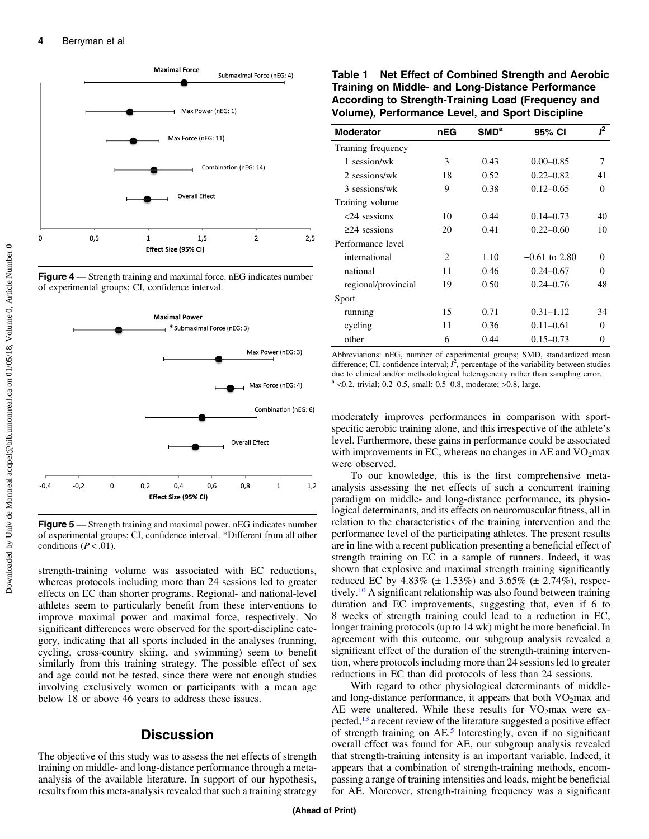<span id="page-3-0"></span>

**Figure 4** — Strength training and maximal force. nEG indicates number of experimental groups; CI, confidence interval.



**Figure 5** — Strength training and maximal power. nEG indicates number of experimental groups; CI, confidence interval. \*Different from all other conditions ( $P < .01$ ).

strength-training volume was associated with EC reductions, whereas protocols including more than 24 sessions led to greater effects on EC than shorter programs. Regional- and national-level athletes seem to particularly benefit from these interventions to improve maximal power and maximal force, respectively. No significant differences were observed for the sport-discipline category, indicating that all sports included in the analyses (running, cycling, cross-country skiing, and swimming) seem to benefit similarly from this training strategy. The possible effect of sex and age could not be tested, since there were not enough studies involving exclusively women or participants with a mean age below 18 or above 46 years to address these issues.

## **Discussion**

The objective of this study was to assess the net effects of strength training on middle- and long-distance performance through a metaanalysis of the available literature. In support of our hypothesis, results from this meta-analysis revealed that such a training strategy

Table 1 Net Effect of Combined Strength and Aerobic Training on Middle- and Long-Distance Performance According to Strength-Training Load (Frequency and Volume), Performance Level, and Sport Discipline

| <b>Moderator</b>    | nEG | SMD <sup>a</sup> | 95% CI          | ſ <sup>2</sup> |
|---------------------|-----|------------------|-----------------|----------------|
| Training frequency  |     |                  |                 |                |
| 1 session/wk        | 3   | 0.43             | $0.00 - 0.85$   | 7              |
| 2 sessions/wk       | 18  | 0.52             | $0.22 - 0.82$   | 41             |
| 3 sessions/wk       | 9   | 0.38             | $0.12 - 0.65$   | $\Omega$       |
| Training volume     |     |                  |                 |                |
| $<$ 24 sessions     | 10  | 0.44             | $0.14 - 0.73$   | 40             |
| $\geq$ 24 sessions  | 20  | 0.41             | $0.22 - 0.60$   | 10             |
| Performance level   |     |                  |                 |                |
| international       | 2   | 1.10             | $-0.61$ to 2.80 | $\Omega$       |
| national            | 11  | 0.46             | $0.24 - 0.67$   | $\Omega$       |
| regional/provincial | 19  | 0.50             | $0.24 - 0.76$   | 48             |
| Sport               |     |                  |                 |                |
| running             | 15  | 0.71             | $0.31 - 1.12$   | 34             |
| cycling             | 11  | 0.36             | $0.11 - 0.61$   | 0              |
| other               | 6   | 0.44             | $0.15 - 0.73$   | 0              |

Abbreviations: nEG, number of experimental groups; SMD, standardized mean difference; CI, confidence interval;  $\vec{I}$ , percentage of the variability between studies due to clinical and/or methodological beterogeneity rather than sampling error due to clinical and/or methodological heterogeneity rather than sampling error.  $a$  <0.2, trivial; 0.2–0.5, small; 0.5–0.8, moderate; >0.8, large.

moderately improves performances in comparison with sportspecific aerobic training alone, and this irrespective of the athlete's level. Furthermore, these gains in performance could be associated with improvements in EC, whereas no changes in AE and  $VO<sub>2</sub>max$ were observed.

To our knowledge, this is the first comprehensive metaanalysis assessing the net effects of such a concurrent training paradigm on middle- and long-distance performance, its physiological determinants, and its effects on neuromuscular fitness, all in relation to the characteristics of the training intervention and the performance level of the participating athletes. The present results are in line with a recent publication presenting a beneficial effect of strength training on EC in a sample of runners. Indeed, it was shown that explosive and maximal strength training significantly reduced EC by 4.83% ( $\pm$  1.53%) and 3.65% ( $\pm$  2.74%), respec-tively.<sup>[10](#page-6-0)</sup> A significant relationship was also found between training duration and EC improvements, suggesting that, even if 6 to 8 weeks of strength training could lead to a reduction in EC, longer training protocols (up to 14 wk) might be more beneficial. In agreement with this outcome, our subgroup analysis revealed a significant effect of the duration of the strength-training intervention, where protocols including more than 24 sessions led to greater reductions in EC than did protocols of less than 24 sessions.

With regard to other physiological determinants of middleand long-distance performance, it appears that both  $VO<sub>2</sub>max$  and AE were unaltered. While these results for  $VO<sub>2</sub>max$  were expected[,13](#page-6-0) a recent review of the literature suggested a positive effect of strength training on AE.[5](#page-6-0) Interestingly, even if no significant overall effect was found for AE, our subgroup analysis revealed that strength-training intensity is an important variable. Indeed, it appears that a combination of strength-training methods, encompassing a range of training intensities and loads, might be beneficial for AE. Moreover, strength-training frequency was a significant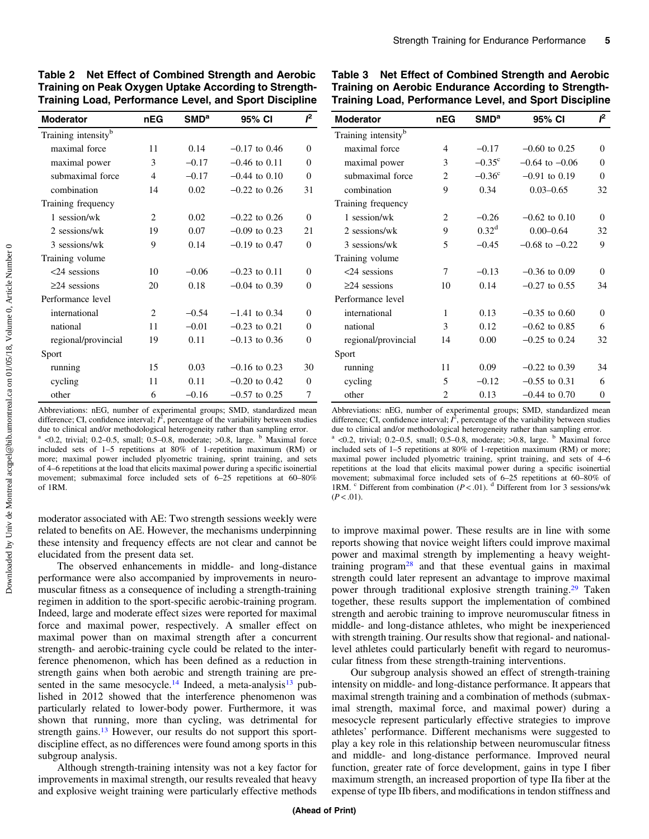| <b>Moderator</b>                | nEG            | $\mathsf{SMD}^\mathsf{a}$ | 95% CI            | ſ <sup>2</sup> |
|---------------------------------|----------------|---------------------------|-------------------|----------------|
| Training intensity <sup>b</sup> |                |                           |                   |                |
| maximal force                   | 11             | 0.14                      | $-0.17$ to 0.46   | $\Omega$       |
| maximal power                   | 3              | $-0.17$                   | $-0.46$ to 0.11   | $\Omega$       |
| submaximal force                | $\overline{4}$ | $-0.17$                   | $-0.44$ to $0.10$ | $\theta$       |
| combination                     | 14             | 0.02                      | $-0.22$ to 0.26   | 31             |
| Training frequency              |                |                           |                   |                |
| 1 session/wk                    | 2              | 0.02                      | $-0.22$ to 0.26   | $\Omega$       |
| 2 sessions/wk                   | 19             | 0.07                      | $-0.09$ to 0.23   | 21             |
| 3 sessions/wk                   | 9              | 0.14                      | $-0.19$ to $0.47$ | $\Omega$       |
| Training volume                 |                |                           |                   |                |
| $<24$ sessions                  | 10             | $-0.06$                   | $-0.23$ to $0.11$ | $\Omega$       |
| $\geq$ 24 sessions              | 20             | 0.18                      | $-0.04$ to 0.39   | $\Omega$       |
| Performance level               |                |                           |                   |                |
| international                   | $\overline{c}$ | $-0.54$                   | $-1.41$ to 0.34   | $\Omega$       |
| national                        | 11             | $-0.01$                   | $-0.23$ to 0.21   | $\overline{0}$ |
| regional/provincial             | 19             | 0.11                      | $-0.13$ to 0.36   | $\Omega$       |
| Sport                           |                |                           |                   |                |
| running                         | 15             | 0.03                      | $-0.16$ to 0.23   | 30             |
| cycling                         | 11             | 0.11                      | $-0.20$ to 0.42   | 0              |
| other                           | 6              | $-0.16$                   | $-0.57$ to 0.25   | 7              |

Table 2 Net Effect of Combined Strength and Aerobic Training on Peak Oxygen Uptake According to Strength-Training Load, Performance Level, and Sport Discipline

Abbreviations: nEG, number of experimental groups; SMD, standardized mean difference; CI, confidence interval;  $\hat{I}$ , percentage of the variability between studies due to clinical and/or methodological beterogeneity rather than sampling error due to clinical and/or methodological heterogeneity rather than sampling error.  $a$  <0.2, trivial; 0.2–0.5, small; 0.5–0.8, moderate; >0.8, large.  $b$  Maximal force

included sets of 1–5 repetitions at 80% of 1-repetition maximum (RM) or more; maximal power included plyometric training, sprint training, and sets of 4–6 repetitions at the load that elicits maximal power during a specific isoinertial movement; submaximal force included sets of 6–25 repetitions at 60–80% of 1RM.

moderator associated with AE: Two strength sessions weekly were related to benefits on AE. However, the mechanisms underpinning these intensity and frequency effects are not clear and cannot be elucidated from the present data set.

The observed enhancements in middle- and long-distance performance were also accompanied by improvements in neuromuscular fitness as a consequence of including a strength-training regimen in addition to the sport-specific aerobic-training program. Indeed, large and moderate effect sizes were reported for maximal force and maximal power, respectively. A smaller effect on maximal power than on maximal strength after a concurrent strength- and aerobic-training cycle could be related to the interference phenomenon, which has been defined as a reduction in strength gains when both aerobic and strength training are pre-sented in the same mesocycle.<sup>[14](#page-6-0)</sup> Indeed, a meta-analysis<sup>[13](#page-6-0)</sup> published in 2012 showed that the interference phenomenon was particularly related to lower-body power. Furthermore, it was shown that running, more than cycling, was detrimental for strength gains.<sup>[13](#page-6-0)</sup> However, our results do not support this sportdiscipline effect, as no differences were found among sports in this subgroup analysis.

Although strength-training intensity was not a key factor for improvements in maximal strength, our results revealed that heavy and explosive weight training were particularly effective methods

Table 3 Net Effect of Combined Strength and Aerobic Training on Aerobic Endurance According to Strength-Training Load, Performance Level, and Sport Discipline

| <b>Moderator</b>                | nEG            | SMD <sup>a</sup>  | 95% CI             | ſ <sup>2</sup> |
|---------------------------------|----------------|-------------------|--------------------|----------------|
| Training intensity <sup>b</sup> |                |                   |                    |                |
| maximal force                   | 4              | $-0.17$           | $-0.60$ to 0.25    | 0              |
| maximal power                   | 3              | $-0.35^{\circ}$   | $-0.64$ to $-0.06$ | $\Omega$       |
| submaximal force                | $\overline{c}$ | $-0.36^{\circ}$   | $-0.91$ to $0.19$  | $\Omega$       |
| combination                     | 9              | 0.34              | $0.03 - 0.65$      | 32             |
| Training frequency              |                |                   |                    |                |
| 1 session/wk                    | 2              | $-0.26$           | $-0.62$ to $0.10$  | $\Omega$       |
| 2 sessions/wk                   | 9              | 0.32 <sup>d</sup> | $0.00 - 0.64$      | 32             |
| 3 sessions/wk                   | 5              | $-0.45$           | $-0.68$ to $-0.22$ | 9              |
| Training volume                 |                |                   |                    |                |
| $<$ 24 sessions                 | 7              | $-0.13$           | $-0.36$ to $0.09$  | 0              |
| $\geq$ 24 sessions              | 10             | 0.14              | $-0.27$ to 0.55    | 34             |
| Performance level               |                |                   |                    |                |
| international                   | 1              | 0.13              | $-0.35$ to 0.60    | $\theta$       |
| national                        | 3              | 0.12              | $-0.62$ to $0.85$  | 6              |
| regional/provincial             | 14             | 0.00              | $-0.25$ to 0.24    | 32             |
| Sport                           |                |                   |                    |                |
| running                         | 11             | 0.09              | $-0.22$ to 0.39    | 34             |
| cycling                         | 5              | $-0.12$           | $-0.55$ to 0.31    | 6              |
| other                           | $\overline{c}$ | 0.13              | $-0.44$ to 0.70    | $\overline{0}$ |

Abbreviations: nEG, number of experimental groups; SMD, standardized mean difference; CI, confidence interval;  $\vec{I}$ , percentage of the variability between studies due to clinical and/or methodological beterogeneity rather than sampling error due to clinical and/or methodological heterogeneity rather than sampling error.  $a$  <0.2, trivial; 0.2–0.5, small; 0.5–0.8, moderate; >0.8, large.  $b$  Maximal force

included sets of 1–5 repetitions at 80% of 1-repetition maximum (RM) or more; maximal power included plyometric training, sprint training, and sets of 4–6 repetitions at the load that elicits maximal power during a specific isoinertial movement; submaximal force included sets of 6–25 repetitions at 60–80% of 1RM. <sup>c</sup> Different from combination ( $P < .01$ ). <sup>d</sup> Different from 1or 3 sessions/wk  $(P < .01)$ .

to improve maximal power. These results are in line with some reports showing that novice weight lifters could improve maximal power and maximal strength by implementing a heavy weighttraining program $28$  and that these eventual gains in maximal strength could later represent an advantage to improve maximal power through traditional explosive strength training.<sup>[29](#page-6-0)</sup> Taken together, these results support the implementation of combined strength and aerobic training to improve neuromuscular fitness in middle- and long-distance athletes, who might be inexperienced with strength training. Our results show that regional- and nationallevel athletes could particularly benefit with regard to neuromuscular fitness from these strength-training interventions.

Our subgroup analysis showed an effect of strength-training intensity on middle- and long-distance performance. It appears that maximal strength training and a combination of methods (submaximal strength, maximal force, and maximal power) during a mesocycle represent particularly effective strategies to improve athletes' performance. Different mechanisms were suggested to play a key role in this relationship between neuromuscular fitness and middle- and long-distance performance. Improved neural function, greater rate of force development, gains in type I fiber maximum strength, an increased proportion of type IIa fiber at the expense of type IIb fibers, and modifications in tendon stiffness and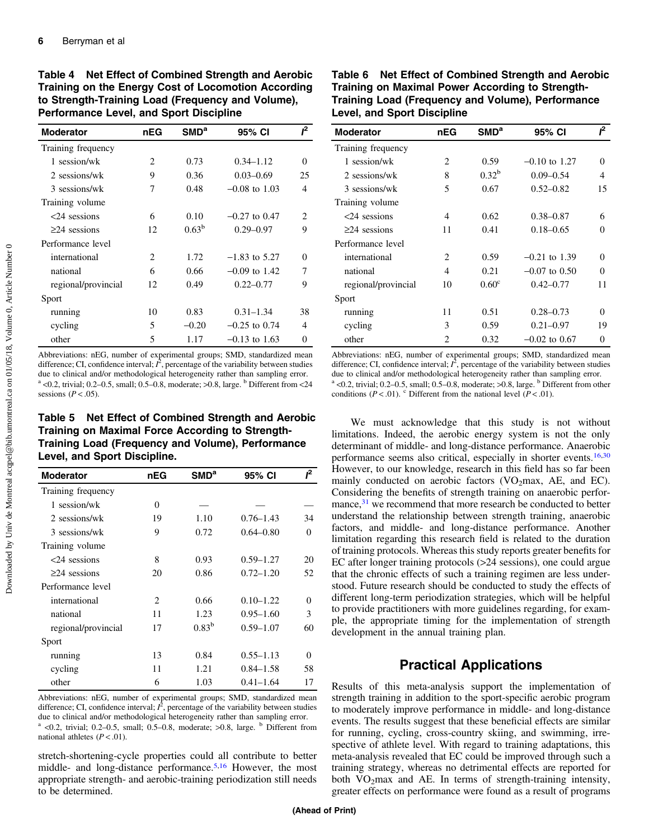| <b>Moderator</b>    | nEG | SMD <sup>a</sup> | 95% CI          | ſ <sup>2</sup>              |
|---------------------|-----|------------------|-----------------|-----------------------------|
| Training frequency  |     |                  |                 |                             |
| 1 session/wk        | 2   | 0.73             | $0.34 - 1.12$   | $\Omega$                    |
| 2 sessions/wk       | 9   | 0.36             | $0.03 - 0.69$   | 25                          |
| 3 sessions/wk       | 7   | 0.48             | $-0.08$ to 1.03 | 4                           |
| Training volume     |     |                  |                 |                             |
| $<24$ sessions      | 6   | 0.10             | $-0.27$ to 0.47 | $\mathcal{D}_{\mathcal{L}}$ |
| $\geq$ 24 sessions  | 12  | $0.63^b$         | $0.29 - 0.97$   | 9                           |
| Performance level   |     |                  |                 |                             |
| international       | 2   | 1.72             | $-1.83$ to 5.27 | 0                           |
| national            | 6   | 0.66             | $-0.09$ to 1.42 | 7                           |
| regional/provincial | 12  | 0.49             | $0.22 - 0.77$   | 9                           |
| Sport               |     |                  |                 |                             |
| running             | 10  | 0.83             | $0.31 - 1.34$   | 38                          |
| cycling             | 5   | $-0.20$          | $-0.25$ to 0.74 | 4                           |
| other               | 5   | 1.17             | $-0.13$ to 1.63 | 0                           |

<span id="page-5-0"></span>Table 4 Net Effect of Combined Strength and Aerobic Training on the Energy Cost of Locomotion According to Strength-Training Load (Frequency and Volume), Performance Level, and Sport Discipline

Abbreviations: nEG, number of experimental groups; SMD, standardized mean difference; CI, confidence interval;  $\vec{P}$ , percentage of the variability between studies<br>due to clinical and/or methodological heterogeneity rather than sampling error due to clinical and/or methodological heterogeneity rather than sampling error.  $a$  <0.2, trivial; 0.2–0.5, small; 0.5–0.8, moderate; >0.8, large.  $b$  Different from <24 sessions ( $P < .05$ ).

Table 5 Net Effect of Combined Strength and Aerobic Training on Maximal Force According to Strength-Training Load (Frequency and Volume), Performance Level, and Sport Discipline.

| <b>Moderator</b>    | nEG            | SMD <sup>a</sup> | 95% CI        | ſ <sup>2</sup> |
|---------------------|----------------|------------------|---------------|----------------|
| Training frequency  |                |                  |               |                |
| 1 session/wk        | $\theta$       |                  |               |                |
| 2 sessions/wk       | 19             | 1.10             | $0.76 - 1.43$ | 34             |
| 3 sessions/wk       | 9              | 0.72             | $0.64 - 0.80$ | $\Omega$       |
| Training volume     |                |                  |               |                |
| $<24$ sessions      | 8              | 0.93             | $0.59 - 1.27$ | 20             |
| $\geq$ 24 sessions  | 20             | 0.86             | $0.72 - 1.20$ | 52             |
| Performance level   |                |                  |               |                |
| international       | $\mathfrak{D}$ | 0.66             | $0.10 - 1.22$ | $\Omega$       |
| national            | 11             | 1.23             | $0.95 - 1.60$ | 3              |
| regional/provincial | 17             | $0.83^{b}$       | $0.59 - 1.07$ | 60             |
| Sport               |                |                  |               |                |
| running             | 13             | 0.84             | $0.55 - 1.13$ | $\Omega$       |
| cycling             | 11             | 1.21             | $0.84 - 1.58$ | 58             |
| other               | 6              | 1.03             | $0.41 - 1.64$ | 17             |

Abbreviations: nEG, number of experimental groups; SMD, standardized mean difference; CI, confidence interval;  $\hat{I}$ , percentage of the variability between studies due to clinical and/or methodological beterogeneity rather than sampling error due to clinical and/or methodological heterogeneity rather than sampling error.  $a$  <0.2, trivial; 0.2-0.5, small; 0.5-0.8, moderate; >0.8, large.  $b$  Different from national athletes  $(P < .01)$ .

stretch-shortening-cycle properties could all contribute to better middle- and long-distance performance.<sup>[5](#page-6-0),[16](#page-6-0)</sup> However, the most appropriate strength- and aerobic-training periodization still needs to be determined.

| Table 6 Net Effect of Combined Strength and Aerobic |
|-----------------------------------------------------|
| Training on Maximal Power According to Strength-    |
| Training Load (Frequency and Volume), Performance   |
| <b>Level, and Sport Discipline</b>                  |

| <b>Moderator</b>    | nEG                           | SMD <sup>a</sup>  | 95% CI          | ſ <sup>2</sup> |
|---------------------|-------------------------------|-------------------|-----------------|----------------|
| Training frequency  |                               |                   |                 |                |
| 1 session/wk        | $\mathfrak{D}$                | 0.59              | $-0.10$ to 1.27 | 0              |
| 2 sessions/wk       | 8                             | $0.32^{b}$        | $0.09 - 0.54$   | 4              |
| 3 sessions/wk       | 5                             | 0.67              | $0.52 - 0.82$   | 15             |
| Training volume     |                               |                   |                 |                |
| $<24$ sessions      | 4                             | 0.62              | $0.38 - 0.87$   | 6              |
| $\geq$ 24 sessions  | 11                            | 0.41              | $0.18 - 0.65$   | 0              |
| Performance level   |                               |                   |                 |                |
| international       | 2                             | 0.59              | $-0.21$ to 1.39 | 0              |
| national            | $\overline{4}$                | 0.21              | $-0.07$ to 0.50 | 0              |
| regional/provincial | 10                            | 0.60 <sup>c</sup> | $0.42 - 0.77$   | 11             |
| Sport               |                               |                   |                 |                |
| running             | 11                            | 0.51              | $0.28 - 0.73$   | 0              |
| cycling             | 3                             | 0.59              | $0.21 - 0.97$   | 19             |
| other               | $\mathfrak{D}_{\mathfrak{p}}$ | 0.32              | $-0.02$ to 0.67 | 0              |

Abbreviations: nEG, number of experimental groups; SMD, standardized mean difference; CI, confidence interval;  $\vec{I}$ , percentage of the variability between studies due to clinical and/or methodological beterogeneity rather than sampling error due to clinical and/or methodological heterogeneity rather than sampling error.  $a$  <0.2, trivial; 0.2–0.5, small; 0.5–0.8, moderate; >0.8, large.  $b$  Different from other conditions ( $P < .01$ ). <sup>c</sup> Different from the national level ( $P < .01$ ).

We must acknowledge that this study is not without limitations. Indeed, the aerobic energy system is not the only determinant of middle- and long-distance performance. Anaerobic performance seems also critical, especially in shorter events. $16,30$  $16,30$  $16,30$ However, to our knowledge, research in this field has so far been mainly conducted on aerobic factors ( $VO<sub>2</sub>$ max, AE, and EC). Considering the benefits of strength training on anaerobic performance, $31$  we recommend that more research be conducted to better understand the relationship between strength training, anaerobic factors, and middle- and long-distance performance. Another limitation regarding this research field is related to the duration of training protocols. Whereas this study reports greater benefits for EC after longer training protocols (>24 sessions), one could argue that the chronic effects of such a training regimen are less understood. Future research should be conducted to study the effects of different long-term periodization strategies, which will be helpful to provide practitioners with more guidelines regarding, for example, the appropriate timing for the implementation of strength development in the annual training plan.

# Practical Applications

Results of this meta-analysis support the implementation of strength training in addition to the sport-specific aerobic program to moderately improve performance in middle- and long-distance events. The results suggest that these beneficial effects are similar for running, cycling, cross-country skiing, and swimming, irrespective of athlete level. With regard to training adaptations, this meta-analysis revealed that EC could be improved through such a training strategy, whereas no detrimental effects are reported for both  $VO<sub>2</sub>max$  and AE. In terms of strength-training intensity, greater effects on performance were found as a result of programs